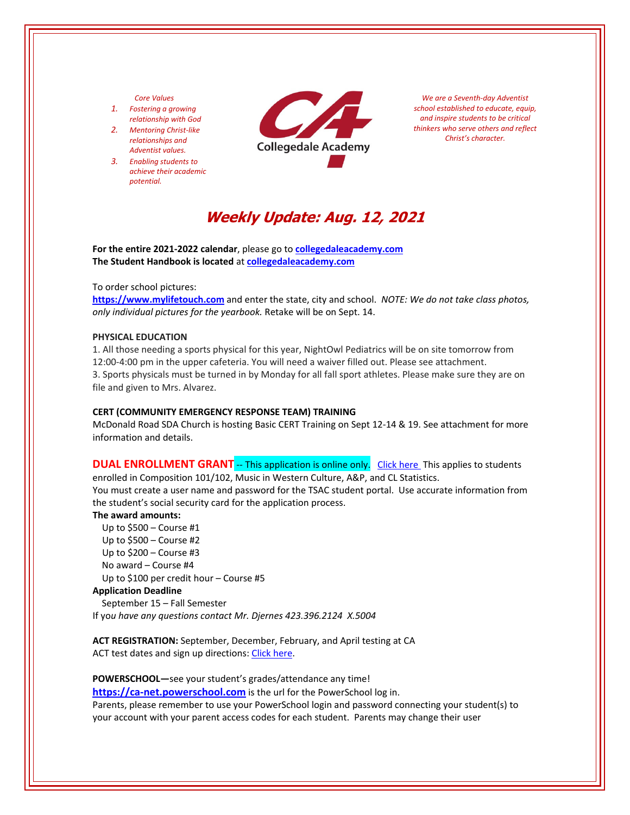# *Core Values*

- *1. Fostering a growing relationship with God*
- *2. Mentoring Christ‐like relationships and Adventist values.*
- *3. Enabling students to achieve their academic potential.*



*We are a Seventh‐day Adventist school established to educate, equip, and inspire students to be critical thinkers who serve others and reflect Christ's character.*

# **Weekly Update: Aug. 12, 2021**

**For the entire 2021‐2022 calendar**, please go to **[collegedaleacademy.com](https://www.collegedaleacademy.com/) The Student Handbook is located** at **[collegedaleacademy.com](https://www.collegedaleacademy.com/)**

# To order school pictures:

**[https://www.mylifetouch.com](https://my.lifetouch.com/mylifetouch/#/)** and enter the state, city and school.*NOTE: We do not take class photos, only individual pictures for the yearbook.* Retake will be on Sept. 14.

## **PHYSICAL EDUCATION**

1. All those needing a sports physical for this year, NightOwl Pediatrics will be on site tomorrow from 12:00‐4:00 pm in the upper cafeteria. You will need a waiver filled out. Please see attachment. 3. Sports physicals must be turned in by Monday for all fall sport athletes. Please make sure they are on file and given to Mrs. Alvarez.

# **CERT (COMMUNITY EMERGENCY RESPONSE TEAM) TRAINING**

McDonald Road SDA Church is hosting Basic CERT Training on Sept 12‐14 & 19. See attachment for more information and details.

**DUAL ENROLLMENT GRANT** -- This application is online only. Click [here](https://www.tn.gov/collegepays/money-for-college/tn-education-lottery-programs/dual-enrollment-grant.html) This applies to students enrolled in Composition 101/102, Music in Western Culture, A&P, and CL Statistics. You must create a user name and password for the TSAC student portal. Use accurate information from the student's social security card for the application process.

#### **The award amounts:**

 Up to \$500 – Course #1 Up to \$500 – Course #2 Up to \$200 – Course #3 No award – Course #4 Up to \$100 per credit hour – Course #5

#### **Application Deadline**

 September 15 – Fall Semester If yo*u have any questions contact Mr. Djernes 423.396.2124 X.5004*

**ACT REGISTRATION:** September, December, February, and April testing at CA ACT test dates and sign up directions: Click [here.](https://www.act.org/)

**POWERSCHOOL—**see your student's grades/attendance any time! **https://ca-[net.powerschool.com](https://ca-net.powerschool.com/public/)** is the url for the PowerSchool log in. Parents, please remember to use your PowerSchool login and password connecting your student(s) to your account with your parent access codes for each student. Parents may change their user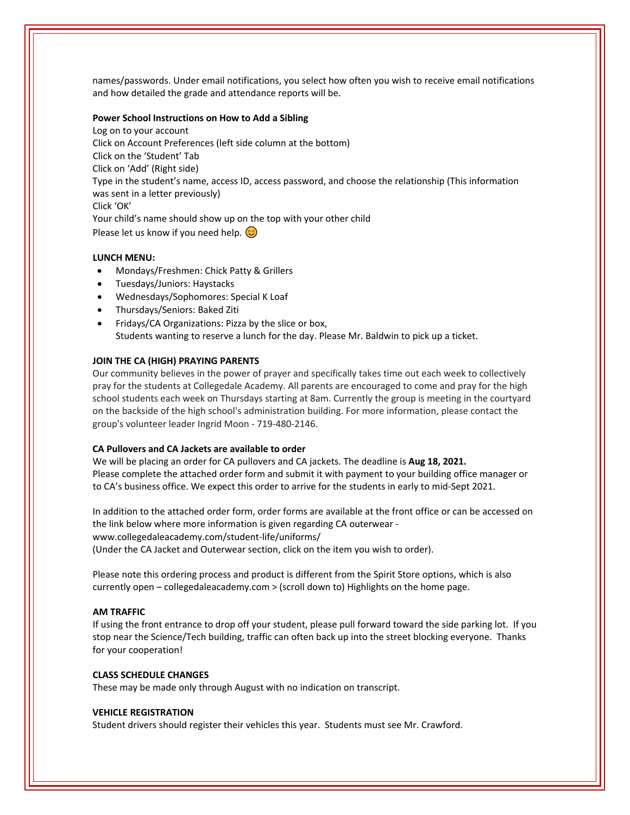names/passwords. Under email notifications, you select how often you wish to receive email notifications and how detailed the grade and attendance reports will be.

## **Power School Instructions on How to Add a Sibling**

Log on to your account Click on Account Preferences (left side column at the bottom) Click on the 'Student' Tab Click on 'Add' (Right side) Type in the student's name, access ID, access password, and choose the relationship (This information was sent in a letter previously) Click 'OK' Your child's name should show up on the top with your other child Please let us know if you need help.  $\circled{c}$ 

#### **LUNCH MENU:**

- Mondays/Freshmen: Chick Patty & Grillers
- Tuesdays/Juniors: Haystacks
- Wednesdays/Sophomores: Special K Loaf
- Thursdays/Seniors: Baked Ziti
- Fridays/CA Organizations: Pizza by the slice or box, Students wanting to reserve a lunch for the day. Please Mr. Baldwin to pick up a ticket.

## **JOIN THE CA (HIGH) PRAYING PARENTS**

Our community believes in the power of prayer and specifically takes time out each week to collectively pray for the students at Collegedale Academy. All parents are encouraged to come and pray for the high school students each week on Thursdays starting at 8am. Currently the group is meeting in the courtyard on the backside of the high school's administration building. For more information, please contact the group's volunteer leader Ingrid Moon ‐ 719‐480‐2146.

## **CA Pullovers and CA Jackets are available to order**

We will be placing an order for CA pullovers and CA jackets. The deadline is **Aug 18, 2021.**  Please complete the attached order form and submit it with payment to your building office manager or to CA's business office. We expect this order to arrive for the students in early to mid‐Sept 2021.

In addition to the attached order form, order forms are available at the front office or can be accessed on the link below where more information is given regarding CA outerwear ‐ www.collegedaleacademy.com/student‐life/uniforms/ (Under the CA Jacket and Outerwear section, click on the item you wish to order).

Please note this ordering process and product is different from the Spirit Store options, which is also currently open – collegedaleacademy.com > (scroll down to) Highlights on the home page.

# **AM TRAFFIC**

If using the front entrance to drop off your student, please pull forward toward the side parking lot. If you stop near the Science/Tech building, traffic can often back up into the street blocking everyone. Thanks for your cooperation!

## **CLASS SCHEDULE CHANGES**

These may be made only through August with no indication on transcript.

## **VEHICLE REGISTRATION**

Student drivers should register their vehicles this year. Students must see Mr. Crawford.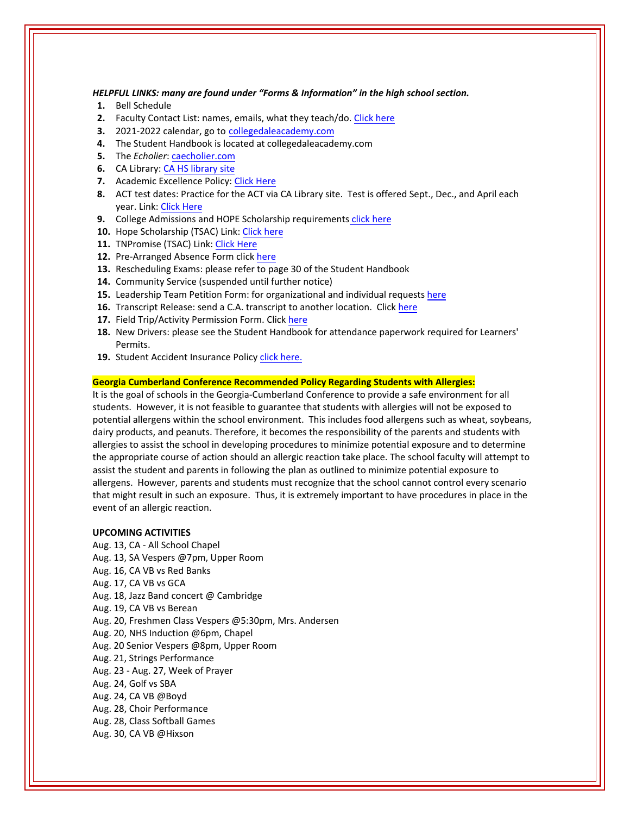*HELPFUL LINKS: many are found under "Forms & Information" in the high school section.*

- **1.** Bell Schedule
- **2.** Faculty Contact List: names, emails, what they teach/do. Click here
- **3.** 2021‐2022 calendar, go to [collegedaleacademy.com](https://www.collegedaleacademy.com/calendars/)
- **4.** The Student Handbook is located at collegedaleacademy.com
- **5.** The *Echolier*: [caecholier.com](https://caecholier.com/)
- **6.** CA Library: CA HS [library](https://southernuniongcc.mlasolutions.com/m5/catalog/(S(xrouqaihtgq1pinq0tsbms5i))/default.aspx?installation=CDA) site
- **7.** Academic Excellence Policy: Click [Here](https://www.collegedaleacademy.com/wp-content/uploads/2018/08/Academic-Excellence-Policy.pdf)
- **8.** ACT test dates: Practice for the ACT via CA Library site. Test is offered Sept., Dec., and April each year. Link: Click [Here](https://www.act.org/)
- **9.** College Admissions and HOPE Scholarship requirements click [here](https://www.collegedaleacademy.com/wp-content/uploads/2019/08/TSAC-Scholarship-Info.pdf)
- 10. Hope Scholarship (TSAC) Link: Click [here](https://www.tn.gov/collegepays/money-for-college/tn-education-lottery-programs/tennessee-hope-scholarship.html)
- **11.** TNPromise (TSAC) Link: Click [Here](https://www.tn.gov/tnpromise.html)
- 12. Pre-Arranged Absence Form click [here](https://www.collegedaleacademy.com/wp-content/uploads/2016/11/Class-Absence-Request-Form-May-2017.pdf)
- **13.** Rescheduling Exams: please refer to page 30 of the Student Handbook
- **14.** Community Service (suspended until further notice)
- **15.** Leadership Team Petition Form: for organizational and individual requests [here](https://www.collegedaleacademy.com/wp-content/uploads/2019/08/Leadership-Petition-SSch.pdf)
- **16.** Transcript Release: send a C.A. transcript to another location. Click [here](https://www.collegedaleacademy.com/wp-content/uploads/2016/12/transcriptrelease2014.pdf)
- **17.** Field Trip/Activity Permission Form. Click [here](https://www.collegedaleacademy.com/wp-content/uploads/2018/08/Field-Trip-form.pdf)
- **18.** New Drivers: please see the Student Handbook for attendance paperwork required for Learners' Permits.
- 19. Student Accident Insurance Policy click [here.](https://adventistrisk.org/en-us/insurance/nad/k-12-student-accident)

# **Georgia Cumberland Conference Recommended Policy Regarding Students with Allergies:**

It is the goal of schools in the Georgia‐Cumberland Conference to provide a safe environment for all students. However, it is not feasible to guarantee that students with allergies will not be exposed to potential allergens within the school environment. This includes food allergens such as wheat, soybeans, dairy products, and peanuts. Therefore, it becomes the responsibility of the parents and students with allergies to assist the school in developing procedures to minimize potential exposure and to determine the appropriate course of action should an allergic reaction take place. The school faculty will attempt to assist the student and parents in following the plan as outlined to minimize potential exposure to allergens. However, parents and students must recognize that the school cannot control every scenario that might result in such an exposure. Thus, it is extremely important to have procedures in place in the event of an allergic reaction.

# **UPCOMING ACTIVITIES**

Aug. 13, CA ‐ All School Chapel Aug. 13, SA Vespers @7pm, Upper Room Aug. 16, CA VB vs Red Banks Aug. 17, CA VB vs GCA Aug. 18, Jazz Band concert @ Cambridge Aug. 19, CA VB vs Berean Aug. 20, Freshmen Class Vespers @5:30pm, Mrs. Andersen Aug. 20, NHS Induction @6pm, Chapel Aug. 20 Senior Vespers @8pm, Upper Room Aug. 21, Strings Performance Aug. 23 ‐ Aug. 27, Week of Prayer Aug. 24, Golf vs SBA Aug. 24, CA VB @Boyd Aug. 28, Choir Performance Aug. 28, Class Softball Games Aug. 30, CA VB @Hixson